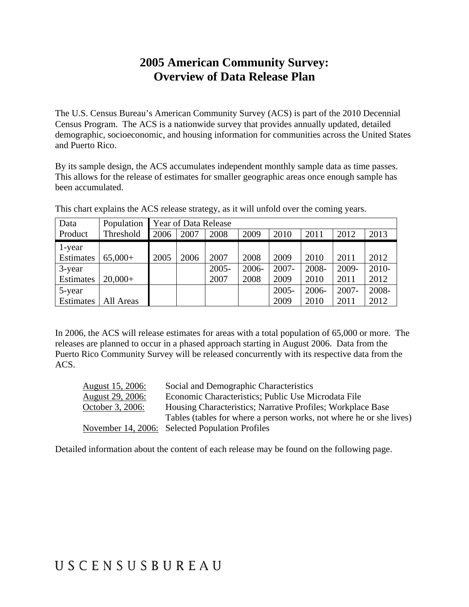### **2005 American Community Survey: Overview of Data Release Plan**

The U.S. Census Bureau's American Community Survey (ACS) is part of the 2010 Decennial Census Program. The ACS is a nationwide survey that provides annually updated, detailed demographic, socioeconomic, and housing information for communities across the United States and Puerto Rico.

By its sample design, the ACS accumulates independent monthly sample data as time passes. This allows for the release of estimates for smaller geographic areas once enough sample has been accumulated.

| Data      | Population | Year of Data Release |      |          |       |          |       |          |         |
|-----------|------------|----------------------|------|----------|-------|----------|-------|----------|---------|
| Product   | Threshold  | 2006                 | 2007 | 2008     | 2009  | 2010     | 2011  | 2012     | 2013    |
| 1-year    |            |                      |      |          |       |          |       |          |         |
| Estimates | $65,000+$  | 2005                 | 2006 | 2007     | 2008  | 2009     | 2010  | 2011     | 2012    |
| 3-year    |            |                      |      | $2005 -$ | 2006- | $2007 -$ | 2008- | 2009-    | $2010-$ |
| Estimates | $20,000+$  |                      |      | 2007     | 2008  | 2009     | 2010  | 2011     | 2012    |
| 5-year    |            |                      |      |          |       | $2005 -$ | 2006- | $2007 -$ | 2008-   |
| Estimates | All Areas  |                      |      |          |       | 2009     | 2010  | 2011     | 2012    |

This chart explains the ACS release strategy, as it will unfold over the coming years.

In 2006, the ACS will release estimates for areas with a total population of 65,000 or more. The releases are planned to occur in a phased approach starting in August 2006. Data from the Puerto Rico Community Survey will be released concurrently with its respective data from the ACS.

| August 15, 2006:        | Social and Demographic Characteristics                              |
|-------------------------|---------------------------------------------------------------------|
| <u>August 29, 2006:</u> | Economic Characteristics; Public Use Microdata File                 |
| October 3, 2006:        | Housing Characteristics; Narrative Profiles; Workplace Base         |
|                         | Tables (tables for where a person works, not where he or she lives) |
|                         | November 14, 2006: Selected Population Profiles                     |

Detailed information about the content of each release may be found on the following page.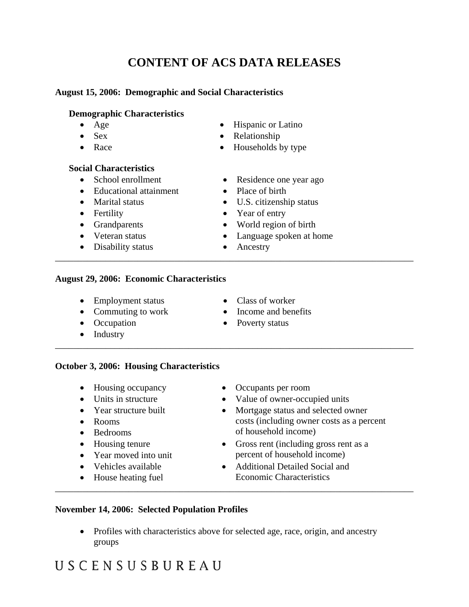### **CONTENT OF ACS DATA RELEASES**

#### **August 15, 2006: Demographic and Social Characteristics**

#### **Demographic Characteristics**

- 
- 
- 
- Age Hispanic or Latino
	- Sex Relationship
- Race Households by type
- **Social Characteristics**
	-
	- Educational attainment Place of birth
	-
	-
	-
	-
	- Disability status Ancestry
	- School enrollment Residence one year ago
		-
	- Marital status U.S. citizenship status
	- Fertility Year of entry
	- Grandparents World region of birth
	- Veteran status Language spoken at home
		-

\_\_\_\_\_\_\_\_\_\_\_\_\_\_\_\_\_\_\_\_\_\_\_\_\_\_\_\_\_\_\_\_\_\_\_\_\_\_\_\_\_\_\_\_\_\_\_\_\_\_\_\_\_\_\_\_\_\_\_\_\_\_\_\_\_\_\_\_\_\_\_\_\_\_\_\_\_\_

\_\_\_\_\_\_\_\_\_\_\_\_\_\_\_\_\_\_\_\_\_\_\_\_\_\_\_\_\_\_\_\_\_\_\_\_\_\_\_\_\_\_\_\_\_\_\_\_\_\_\_\_\_\_\_\_\_\_\_\_\_\_\_\_\_\_\_\_\_\_\_\_\_\_\_\_\_\_

#### **August 29, 2006: Economic Characteristics**

- Employment status Class of worker
- Commuting to work Income and benefits
- 
- Industry
- 
- 
- Occupation Poverty status

#### **October 3, 2006: Housing Characteristics**

- 
- 
- Year structure built
- Rooms
- Bedrooms
- Housing tenure
- Year moved into unit
- Vehicles available
- House heating fuel
- Housing occupancy Occupants per room
- Units in structure Value of owner-occupied units
	- Mortgage status and selected owner costs (including owner costs as a percent of household income)
	- Gross rent (including gross rent as a percent of household income)
	- Additional Detailed Social and Economic Characteristics

#### **November 14, 2006: Selected Population Profiles**

• Profiles with characteristics above for selected age, race, origin, and ancestry groups

\_\_\_\_\_\_\_\_\_\_\_\_\_\_\_\_\_\_\_\_\_\_\_\_\_\_\_\_\_\_\_\_\_\_\_\_\_\_\_\_\_\_\_\_\_\_\_\_\_\_\_\_\_\_\_\_\_\_\_\_\_\_\_\_\_\_\_\_\_\_\_\_\_\_\_\_\_\_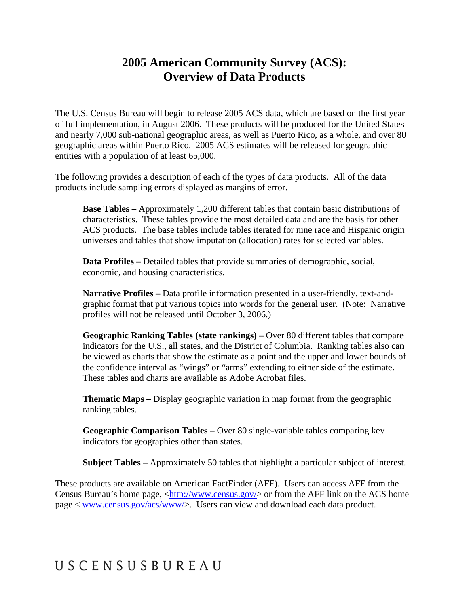### **2005 American Community Survey (ACS): Overview of Data Products**

The U.S. Census Bureau will begin to release 2005 ACS data, which are based on the first year of full implementation, in August 2006. These products will be produced for the United States and nearly 7,000 sub-national geographic areas, as well as Puerto Rico, as a whole, and over 80 geographic areas within Puerto Rico. 2005 ACS estimates will be released for geographic entities with a population of at least 65,000.

The following provides a description of each of the types of data products. All of the data products include sampling errors displayed as margins of error.

**Base Tables –** Approximately 1,200 different tables that contain basic distributions of characteristics. These tables provide the most detailed data and are the basis for other ACS products. The base tables include tables iterated for nine race and Hispanic origin universes and tables that show imputation (allocation) rates for selected variables.

**Data Profiles –** Detailed tables that provide summaries of demographic, social, economic, and housing characteristics.

**Narrative Profiles –** Data profile information presented in a user-friendly, text-andgraphic format that put various topics into words for the general user. (Note: Narrative profiles will not be released until October 3, 2006.)

**Geographic Ranking Tables (state rankings) –** Over 80 different tables that compare indicators for the U.S., all states, and the District of Columbia. Ranking tables also can be viewed as charts that show the estimate as a point and the upper and lower bounds of the confidence interval as "wings" or "arms" extending to either side of the estimate. These tables and charts are available as Adobe Acrobat files.

**Thematic Maps –** Display geographic variation in map format from the geographic ranking tables.

**Geographic Comparison Tables –** Over 80 single-variable tables comparing key indicators for geographies other than states.

**Subject Tables –** Approximately 50 tables that highlight a particular subject of interest.

These products are available on American FactFinder (AFF). Users can access AFF from the Census Bureau's home page,  $\langle \frac{http://www.census.gov/}{$  or from the AFF link on the ACS home page < [www.census.gov/acs/www/>](http://www.census.gov/acs/www/). Users can view and download each data product.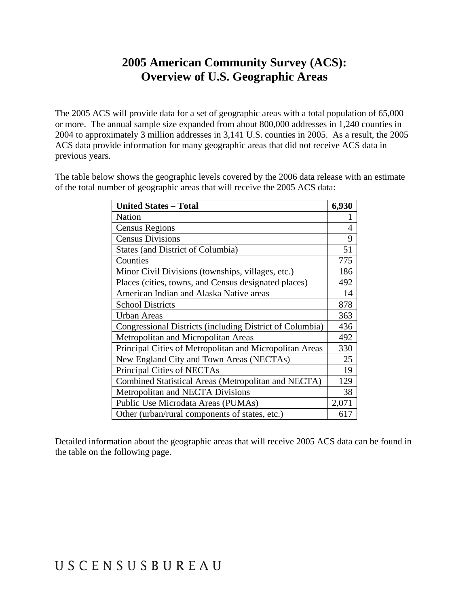### **2005 American Community Survey (ACS): Overview of U.S. Geographic Areas**

The 2005 ACS will provide data for a set of geographic areas with a total population of 65,000 or more. The annual sample size expanded from about 800,000 addresses in 1,240 counties in 2004 to approximately 3 million addresses in 3,141 U.S. counties in 2005. As a result, the 2005 ACS data provide information for many geographic areas that did not receive ACS data in previous years.

The table below shows the geographic levels covered by the 2006 data release with an estimate of the total number of geographic areas that will receive the 2005 ACS data:

| <b>United States - Total</b>                             | 6,930 |
|----------------------------------------------------------|-------|
| <b>Nation</b>                                            |       |
| <b>Census Regions</b>                                    | 4     |
| <b>Census Divisions</b>                                  | 9     |
| <b>States (and District of Columbia)</b>                 | 51    |
| Counties                                                 | 775   |
| Minor Civil Divisions (townships, villages, etc.)        | 186   |
| Places (cities, towns, and Census designated places)     | 492   |
| American Indian and Alaska Native areas                  | 14    |
| <b>School Districts</b>                                  | 878   |
| <b>Urban Areas</b>                                       | 363   |
| Congressional Districts (including District of Columbia) | 436   |
| Metropolitan and Micropolitan Areas                      | 492   |
| Principal Cities of Metropolitan and Micropolitan Areas  | 330   |
| New England City and Town Areas (NECTAs)                 | 25    |
| Principal Cities of NECTAs                               | 19    |
| Combined Statistical Areas (Metropolitan and NECTA)      | 129   |
| Metropolitan and NECTA Divisions                         | 38    |
| Public Use Microdata Areas (PUMAs)                       | 2,071 |
| Other (urban/rural components of states, etc.)           | 617   |

Detailed information about the geographic areas that will receive 2005 ACS data can be found in the table on the following page.